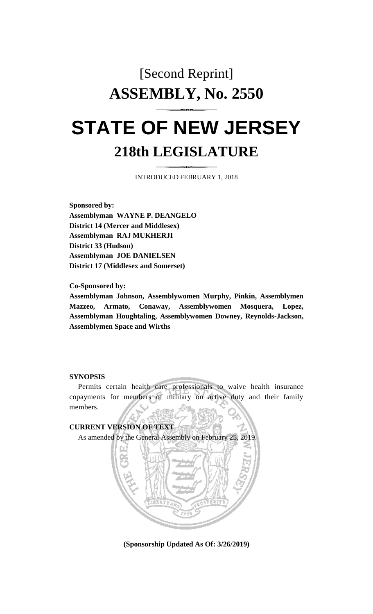## [Second Reprint] **ASSEMBLY, No. 2550**

## **STATE OF NEW JERSEY 218th LEGISLATURE**

INTRODUCED FEBRUARY 1, 2018

**Sponsored by: Assemblyman WAYNE P. DEANGELO District 14 (Mercer and Middlesex) Assemblyman RAJ MUKHERJI District 33 (Hudson) Assemblyman JOE DANIELSEN District 17 (Middlesex and Somerset)**

**Co-Sponsored by:**

**Assemblyman Johnson, Assemblywomen Murphy, Pinkin, Assemblymen Mazzeo, Armato, Conaway, Assemblywomen Mosquera, Lopez, Assemblyman Houghtaling, Assemblywomen Downey, Reynolds-Jackson, Assemblymen Space and Wirths**

## **SYNOPSIS**

Permits certain health care professionals to waive health insurance copayments for members of military on active duty and their family members.



**(Sponsorship Updated As Of: 3/26/2019)**